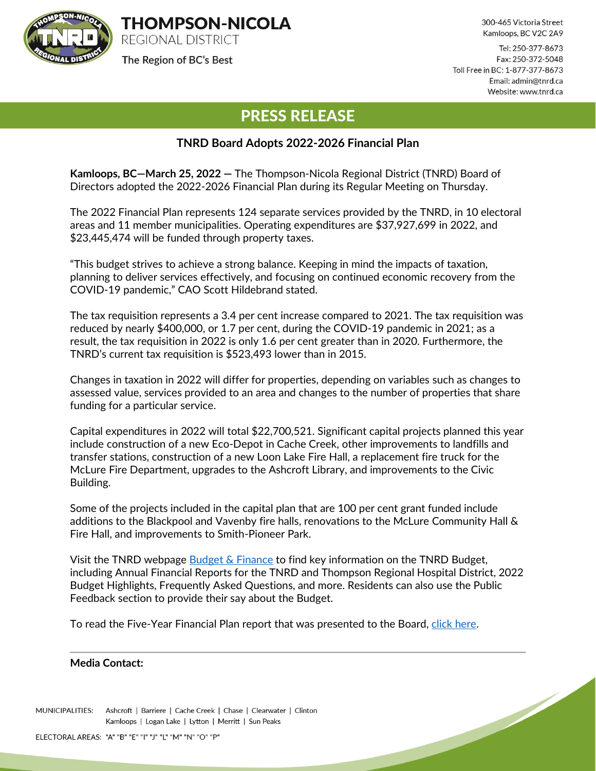

The Region of BC's Best

300-465 Victoria Street Kamloops, BC V2C 2A9

<u>Singlet Contract Contract Contract Contract Contract Contract Contract Contract Contract Contract Contract Contract Contract Contract Contract Contract Contract Contract Contract Contract Contract Contract Contract Contra</u>

Tel: 250-377-8673 Fax: 250-372-5048 Toll Free in BC: 1-877-377-8673 Email: admin@tnrd.ca Website: www.tnrd.ca

## PRESS RELEASE

## **TNRD Board Adopts 2022-2026 Financial Plan**

**Kamloops, BC—March 25, 2022 —** The Thompson-Nicola Regional District (TNRD) Board of Directors adopted the 2022-2026 Financial Plan during its Regular Meeting on Thursday.

The 2022 Financial Plan represents 124 separate services provided by the TNRD, in 10 electoral areas and 11 member municipalities. Operating expenditures are \$37,927,699 in 2022, and \$23,445,474 will be funded through property taxes.

"This budget strives to achieve a strong balance. Keeping in mind the impacts of taxation, planning to deliver services effectively, and focusing on continued economic recovery from the COVID-19 pandemic," CAO Scott Hildebrand stated.

The tax requisition represents a 3.4 per cent increase compared to 2021. The tax requisition was reduced by nearly \$400,000, or 1.7 per cent, during the COVID-19 pandemic in 2021; as a result, the tax requisition in 2022 is only 1.6 per cent greater than in 2020. Furthermore, the TNRD's current tax requisition is \$523,493 lower than in 2015.

Changes in taxation in 2022 will differ for properties, depending on variables such as changes to assessed value, services provided to an area and changes to the number of properties that share funding for a particular service.

Capital expenditures in 2022 will total \$22,700,521. Significant capital projects planned this year include construction of a new Eco-Depot in Cache Creek, other improvements to landfills and transfer stations, construction of a new Loon Lake Fire Hall, a replacement fire truck for the McLure Fire Department, upgrades to the Ashcroft Library, and improvements to the Civic Building.

Some of the projects included in the capital plan that are 100 per cent grant funded include additions to the Blackpool and Vavenby fire halls, renovations to the McLure Community Hall & Fire Hall, and improvements to Smith-Pioneer Park.

Visit the TNRD webpage [Budget & Finance](https://www.tnrd.ca/regional-government/budget-finance/) to find key information on the TNRD Budget, including Annual Financial Reports for the TNRD and Thompson Regional Hospital District, 2022 Budget Highlights, Frequently Asked Questions, and more. Residents can also use the Public Feedback section to provide their say about the Budget.

To read the Five-Year Financial Plan report that was presented to the Board, [click here.](https://tnrd.civicweb.net/FileStorage/4A56FF06573541E8A7F31C7B2B75D4AC-Board%20Report%20-%20BL%202772%20Five%20Year%20Financial%20Plan%2020.pdf)

## **Media Contact:**

MUNICIPALITIES: Ashcroft | Barriere | Cache Creek | Chase | Clearwater | Clinton Kamloops | Logan Lake | Lytton | Merritt | Sun Peaks

ELECTORAL AREAS: "A" "B" "E" "I" "J" "L" "M" "N" "O" "P"